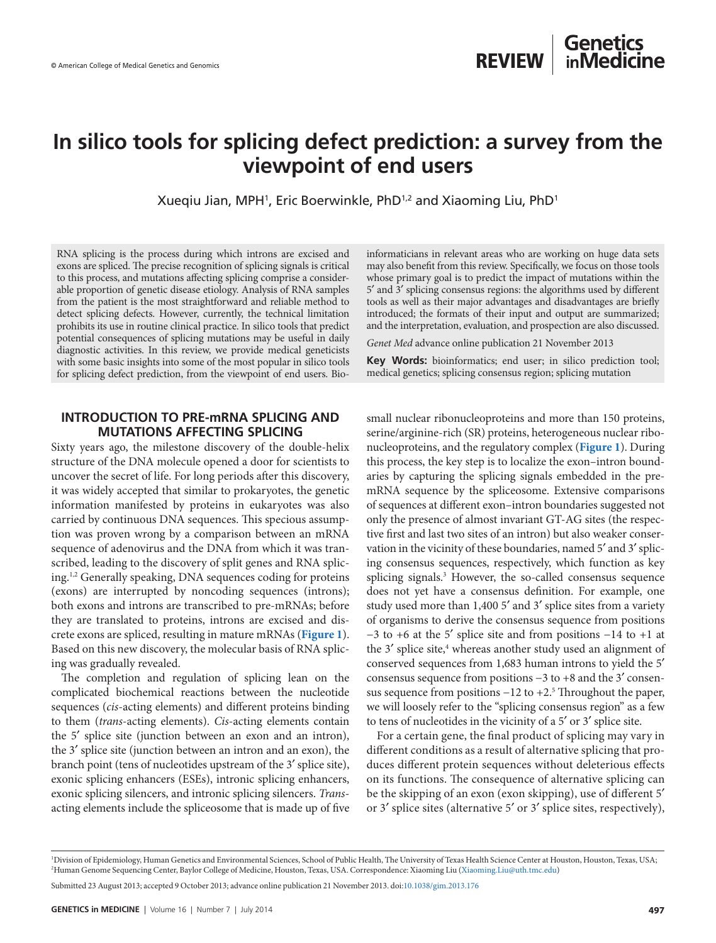# **In silico tools for splicing defect prediction: a survey from the viewpoint of end users**

Xueqiu Jian, MPH<sup>1</sup>, Eric Boerwinkle, PhD $^{1,2}$  and Xiaoming Liu, PhD $^1$ 

RNA splicing is the process during which introns are excised and exons are spliced. The precise recognition of splicing signals is critical to this process, and mutations affecting splicing comprise a considerable proportion of genetic disease etiology. Analysis of RNA samples from the patient is the most straightforward and reliable method to detect splicing defects. However, currently, the technical limitation prohibits its use in routine clinical practice. In silico tools that predict potential consequences of splicing mutations may be useful in daily diagnostic activities. In this review, we provide medical geneticists with some basic insights into some of the most popular in silico tools for splicing defect prediction, from the viewpoint of end users. Bio-

### **INTRODUCTION TO PRE-mRNA SPLICING AND MUTATIONS AFFECTING SPLICING**

Sixty years ago, the milestone discovery of the double-helix structure of the DNA molecule opened a door for scientists to uncover the secret of life. For long periods after this discovery, it was widely accepted that similar to prokaryotes, the genetic information manifested by proteins in eukaryotes was also carried by continuous DNA sequences. This specious assumption was proven wrong by a comparison between an mRNA sequence of adenovirus and the DNA from which it was transcribed, leading to the discovery of split genes and RNA splicing.1,2 Generally speaking, DNA sequences coding for proteins (exons) are interrupted by noncoding sequences (introns); both exons and introns are transcribed to pre-mRNAs; before they are translated to proteins, introns are excised and discrete exons are spliced, resulting in mature mRNAs (**[Figure 1](#page-1-0)**). Based on this new discovery, the molecular basis of RNA splicing was gradually revealed.

The completion and regulation of splicing lean on the complicated biochemical reactions between the nucleotide sequences (*cis*-acting elements) and different proteins binding to them (*trans*-acting elements). *Cis*-acting elements contain the 5′ splice site (junction between an exon and an intron), the 3′ splice site (junction between an intron and an exon), the branch point (tens of nucleotides upstream of the 3′ splice site), exonic splicing enhancers (ESEs), intronic splicing enhancers, exonic splicing silencers, and intronic splicing silencers. *Trans*acting elements include the spliceosome that is made up of five informaticians in relevant areas who are working on huge data sets may also benefit from this review. Specifically, we focus on those tools whose primary goal is to predict the impact of mutations within the 5′ and 3′ splicing consensus regions: the algorithms used by different tools as well as their major advantages and disadvantages are briefly introduced; the formats of their input and output are summarized; and the interpretation, evaluation, and prospection are also discussed.

*Genet Med* advance online publication 21 November 2013

**Key Words:** bioinformatics; end user; in silico prediction tool; medical genetics; splicing consensus region; splicing mutation

small nuclear ribonucleoproteins and more than 150 proteins, serine/arginine-rich (SR) proteins, heterogeneous nuclear ribonucleoproteins, and the regulatory complex (**[Figure 1](#page-1-0)**). During this process, the key step is to localize the exon–intron boundaries by capturing the splicing signals embedded in the premRNA sequence by the spliceosome. Extensive comparisons of sequences at different exon–intron boundaries suggested not only the presence of almost invariant GT-AG sites (the respective first and last two sites of an intron) but also weaker conservation in the vicinity of these boundaries, named 5′ and 3′ splicing consensus sequences, respectively, which function as key splicing signals.3 However, the so-called consensus sequence does not yet have a consensus definition. For example, one study used more than 1,400 5′ and 3′ splice sites from a variety of organisms to derive the consensus sequence from positions −3 to +6 at the 5′ splice site and from positions −14 to +1 at the 3' splice site,<sup>4</sup> whereas another study used an alignment of conserved sequences from 1,683 human introns to yield the 5′ consensus sequence from positions −3 to +8 and the 3′ consensus sequence from positions –12 to +2.<sup>5</sup> Throughout the paper, we will loosely refer to the "splicing consensus region" as a few to tens of nucleotides in the vicinity of a 5′ or 3′ splice site.

For a certain gene, the final product of splicing may vary in different conditions as a result of alternative splicing that produces different protein sequences without deleterious effects on its functions. The consequence of alternative splicing can be the skipping of an exon (exon skipping), use of different 5′ or 3′ splice sites (alternative 5′ or 3′ splice sites, respectively),

Submitted 23 August 2013; accepted 9 October 2013; advance online publication 21 November 2013. doi:[10.1038/gim.2013.176](http://www.nature.com/doifinder/10.1038/gim.2013.176)

<sup>1</sup> Division of Epidemiology, Human Genetics and Environmental Sciences, School of Public Health, The University of Texas Health Science Center at Houston, Houston, Texas, USA; 2 Human Genome Sequencing Center, Baylor College of Medicine, Houston, Texas, USA. Correspondence: Xiaoming Liu ([Xiaoming.Liu@uth.tmc.edu\)](mailto:Xiaoming.Liu@uth.tmc.edu)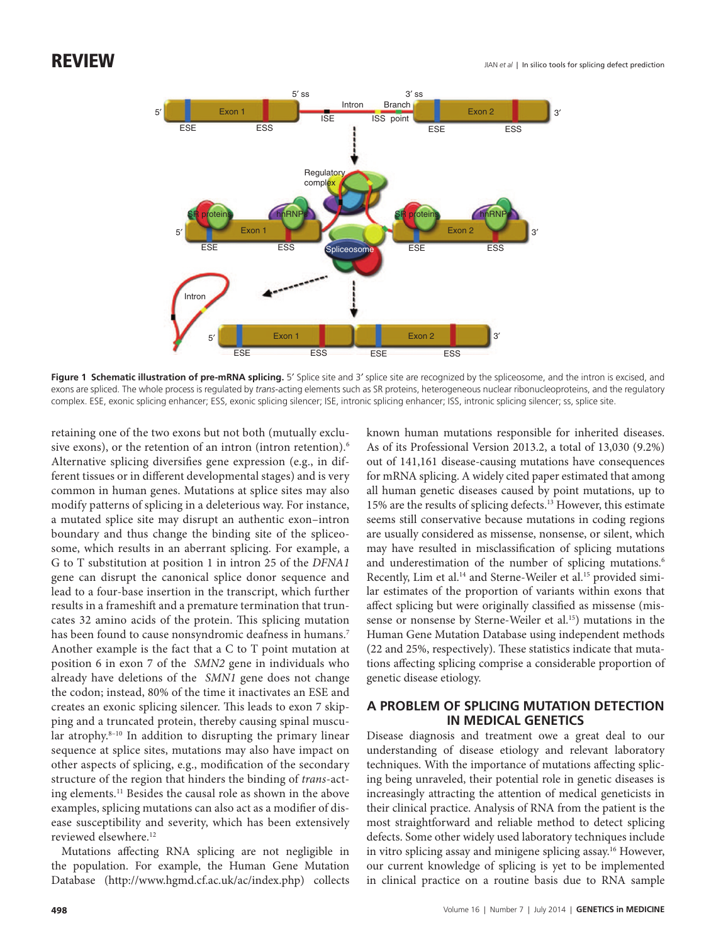<span id="page-1-0"></span>

Figure 1 Schematic illustration of pre-mRNA splicing. 5' Splice site and 3' splice site are recognized by the spliceosome, and the intron is excised, and exons are spliced. The whole process is regulated by *trans*-acting elements such as SR proteins, heterogeneous nuclear ribonucleoproteins, and the regulatory complex. ESE, exonic splicing enhancer; ESS, exonic splicing silencer; ISE, intronic splicing enhancer; ISS, intronic splicing silencer; ss, splice site.

retaining one of the two exons but not both (mutually exclusive exons), or the retention of an intron (intron retention).<sup>6</sup> Alternative splicing diversifies gene expression (e.g., in different tissues or in different developmental stages) and is very common in human genes. Mutations at splice sites may also modify patterns of splicing in a deleterious way. For instance, a mutated splice site may disrupt an authentic exon–intron boundary and thus change the binding site of the spliceosome, which results in an aberrant splicing. For example, a G to T substitution at position 1 in intron 25 of the *DFNA1* gene can disrupt the canonical splice donor sequence and lead to a four-base insertion in the transcript, which further results in a frameshift and a premature termination that truncates 32 amino acids of the protein. This splicing mutation has been found to cause nonsyndromic deafness in humans.<sup>7</sup> Another example is the fact that a C to T point mutation at position 6 in exon 7 of the *SMN2* gene in individuals who already have deletions of the *SMN1* gene does not change the codon; instead, 80% of the time it inactivates an ESE and creates an exonic splicing silencer. This leads to exon 7 skipping and a truncated protein, thereby causing spinal muscular atrophy.<sup>8-10</sup> In addition to disrupting the primary linear sequence at splice sites, mutations may also have impact on other aspects of splicing, e.g., modification of the secondary structure of the region that hinders the binding of *trans*-acting elements.11 Besides the causal role as shown in the above examples, splicing mutations can also act as a modifier of disease susceptibility and severity, which has been extensively reviewed elsewhere.<sup>12</sup>

Mutations affecting RNA splicing are not negligible in the population. For example, the Human Gene Mutation Database [\(http://www.hgmd.cf.ac.uk/ac/index.php](http://www.hgmd.cf.ac.uk/ac/index.php)) collects

known human mutations responsible for inherited diseases. As of its Professional Version 2013.2, a total of 13,030 (9.2%) out of 141,161 disease-causing mutations have consequences for mRNA splicing. A widely cited paper estimated that among all human genetic diseases caused by point mutations, up to 15% are the results of splicing defects.13 However, this estimate seems still conservative because mutations in coding regions are usually considered as missense, nonsense, or silent, which may have resulted in misclassification of splicing mutations and underestimation of the number of splicing mutations.<sup>6</sup> Recently, Lim et al.<sup>14</sup> and Sterne-Weiler et al.<sup>15</sup> provided similar estimates of the proportion of variants within exons that affect splicing but were originally classified as missense (missense or nonsense by Sterne-Weiler et al.<sup>15</sup>) mutations in the Human Gene Mutation Database using independent methods (22 and 25%, respectively). These statistics indicate that mutations affecting splicing comprise a considerable proportion of genetic disease etiology.

## **A PROBLEM OF SPLICING MUTATION DETECTION IN MEDICAL GENETICS**

Disease diagnosis and treatment owe a great deal to our understanding of disease etiology and relevant laboratory techniques. With the importance of mutations affecting splicing being unraveled, their potential role in genetic diseases is increasingly attracting the attention of medical geneticists in their clinical practice. Analysis of RNA from the patient is the most straightforward and reliable method to detect splicing defects. Some other widely used laboratory techniques include in vitro splicing assay and minigene splicing assay.16 However, our current knowledge of splicing is yet to be implemented in clinical practice on a routine basis due to RNA sample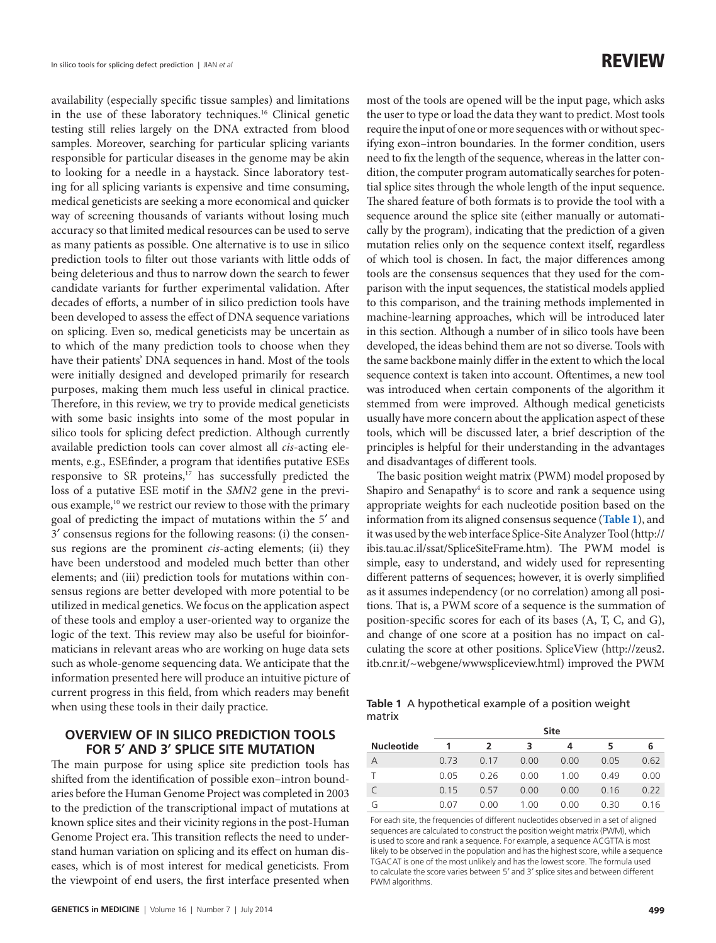availability (especially specific tissue samples) and limitations in the use of these laboratory techniques.<sup>16</sup> Clinical genetic testing still relies largely on the DNA extracted from blood samples. Moreover, searching for particular splicing variants responsible for particular diseases in the genome may be akin to looking for a needle in a haystack. Since laboratory testing for all splicing variants is expensive and time consuming, medical geneticists are seeking a more economical and quicker way of screening thousands of variants without losing much accuracy so that limited medical resources can be used to serve as many patients as possible. One alternative is to use in silico prediction tools to filter out those variants with little odds of being deleterious and thus to narrow down the search to fewer candidate variants for further experimental validation. After decades of efforts, a number of in silico prediction tools have been developed to assess the effect of DNA sequence variations on splicing. Even so, medical geneticists may be uncertain as to which of the many prediction tools to choose when they have their patients' DNA sequences in hand. Most of the tools were initially designed and developed primarily for research purposes, making them much less useful in clinical practice. Therefore, in this review, we try to provide medical geneticists with some basic insights into some of the most popular in silico tools for splicing defect prediction. Although currently available prediction tools can cover almost all *cis*-acting elements, e.g., ESEfinder, a program that identifies putative ESEs responsive to SR proteins,<sup>17</sup> has successfully predicted the loss of a putative ESE motif in the *SMN2* gene in the previous example,<sup>10</sup> we restrict our review to those with the primary goal of predicting the impact of mutations within the 5′ and 3′ consensus regions for the following reasons: (i) the consensus regions are the prominent *cis*-acting elements; (ii) they have been understood and modeled much better than other elements; and (iii) prediction tools for mutations within consensus regions are better developed with more potential to be utilized in medical genetics. We focus on the application aspect of these tools and employ a user-oriented way to organize the logic of the text. This review may also be useful for bioinformaticians in relevant areas who are working on huge data sets such as whole-genome sequencing data. We anticipate that the information presented here will produce an intuitive picture of current progress in this field, from which readers may benefit when using these tools in their daily practice.

### **OVERVIEW OF IN SILICO PREDICTION TOOLS FOR 5′ AND 3′ SPLICE SITE MUTATION**

The main purpose for using splice site prediction tools has shifted from the identification of possible exon–intron boundaries before the Human Genome Project was completed in 2003 to the prediction of the transcriptional impact of mutations at known splice sites and their vicinity regions in the post-Human Genome Project era. This transition reflects the need to understand human variation on splicing and its effect on human diseases, which is of most interest for medical geneticists. From the viewpoint of end users, the first interface presented when

most of the tools are opened will be the input page, which asks the user to type or load the data they want to predict. Most tools require the input of one or more sequences with or without specifying exon–intron boundaries. In the former condition, users need to fix the length of the sequence, whereas in the latter condition, the computer program automatically searches for potential splice sites through the whole length of the input sequence. The shared feature of both formats is to provide the tool with a sequence around the splice site (either manually or automatically by the program), indicating that the prediction of a given mutation relies only on the sequence context itself, regardless of which tool is chosen. In fact, the major differences among tools are the consensus sequences that they used for the comparison with the input sequences, the statistical models applied to this comparison, and the training methods implemented in machine-learning approaches, which will be introduced later in this section. Although a number of in silico tools have been developed, the ideas behind them are not so diverse. Tools with the same backbone mainly differ in the extent to which the local sequence context is taken into account. Oftentimes, a new tool was introduced when certain components of the algorithm it stemmed from were improved. Although medical geneticists usually have more concern about the application aspect of these tools, which will be discussed later, a brief description of the principles is helpful for their understanding in the advantages and disadvantages of different tools.

The basic position weight matrix (PWM) model proposed by Shapiro and Senapathy<sup>4</sup> is to score and rank a sequence using appropriate weights for each nucleotide position based on the information from its aligned consensus sequence (**[Table 1](#page-2-0)**), and it was used by the web interface Splice-Site Analyzer Tool ([http://](http://ibis.tau.ac.il/ssat/SpliceSiteFrame.htm) [ibis.tau.ac.il/ssat/SpliceSiteFrame.htm\)](http://ibis.tau.ac.il/ssat/SpliceSiteFrame.htm). The PWM model is simple, easy to understand, and widely used for representing different patterns of sequences; however, it is overly simplified as it assumes independency (or no correlation) among all positions. That is, a PWM score of a sequence is the summation of position-specific scores for each of its bases (A, T, C, and G), and change of one score at a position has no impact on calculating the score at other positions. SpliceView [\(http://zeus2.](http://zeus2.itb.cnr.it/~webgene/wwwspliceview.html) [itb.cnr.it/~webgene/wwwspliceview.html\)](http://zeus2.itb.cnr.it/~webgene/wwwspliceview.html) improved the PWM

<span id="page-2-0"></span>

|        | <b>Table 1</b> A hypothetical example of a position weight |  |
|--------|------------------------------------------------------------|--|
| matrix |                                                            |  |

|                   |      |      |      | <b>Site</b> |      |      |
|-------------------|------|------|------|-------------|------|------|
| <b>Nucleotide</b> | 1    | 2    | 3    |             | 5    | 6    |
| Α                 | 0.73 | 0.17 | 0.00 | 0.00        | 0.05 | 0.62 |
|                   | 0.05 | 0.26 | 0.00 | 1.00        | 0.49 | 0.00 |
|                   | 0.15 | 0.57 | 0.00 | 0.00        | 0.16 | 0.22 |
| G                 | 0.07 | 0.00 | 1.00 | 0.00        | 0.30 | 0.16 |

 For each site, the frequencies of different nucleotides observed in a set of aligned sequences are calculated to construct the position weight matrix (PWM), which is used to score and rank a sequence. For example, a sequence ACGTTA is most likely to be observed in the population and has the highest score, while a sequence TGACAT is one of the most unlikely and has the lowest score. The formula used to calculate the score varies between 5′ and 3′ splice sites and between different PWM algorithms.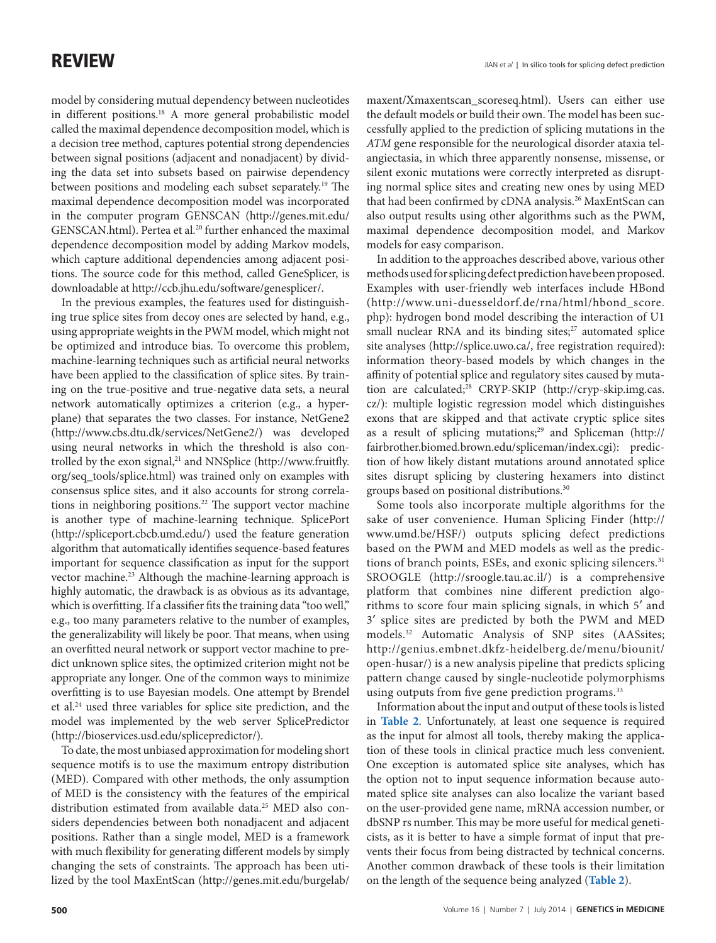model by considering mutual dependency between nucleotides in different positions.18 A more general probabilistic model called the maximal dependence decomposition model, which is a decision tree method, captures potential strong dependencies between signal positions (adjacent and nonadjacent) by dividing the data set into subsets based on pairwise dependency between positions and modeling each subset separately.<sup>19</sup> The maximal dependence decomposition model was incorporated in the computer program GENSCAN [\(http://genes.mit.edu/](http://genes.mit.edu/GENSCAN.html) [GENSCAN.html](http://genes.mit.edu/GENSCAN.html)). Pertea et al.<sup>20</sup> further enhanced the maximal dependence decomposition model by adding Markov models, which capture additional dependencies among adjacent positions. The source code for this method, called GeneSplicer, is downloadable at <http://ccb.jhu.edu/software/genesplicer/>.

In the previous examples, the features used for distinguishing true splice sites from decoy ones are selected by hand, e.g., using appropriate weights in the PWM model, which might not be optimized and introduce bias. To overcome this problem, machine-learning techniques such as artificial neural networks have been applied to the classification of splice sites. By training on the true-positive and true-negative data sets, a neural network automatically optimizes a criterion (e.g., a hyperplane) that separates the two classes. For instance, NetGene2 (<http://www.cbs.dtu.dk/services/NetGene2/>) was developed using neural networks in which the threshold is also con-trolled by the exon signal,<sup>21</sup> and NNSplice [\(http://www.fruitfly.](http://www.fruitfly.org/seq_tools/splice.html) [org/seq\\_tools/splice.html](http://www.fruitfly.org/seq_tools/splice.html)) was trained only on examples with consensus splice sites, and it also accounts for strong correlations in neighboring positions.<sup>22</sup> The support vector machine is another type of machine-learning technique. SplicePort ([http://spliceport.cbcb.umd.edu/](http://�spliceport.cbcb.umd.edu/)) used the feature generation algorithm that automatically identifies sequence-based features important for sequence classification as input for the support vector machine.<sup>23</sup> Although the machine-learning approach is highly automatic, the drawback is as obvious as its advantage, which is overfitting. If a classifier fits the training data "too well," e.g., too many parameters relative to the number of examples, the generalizability will likely be poor. That means, when using an overfitted neural network or support vector machine to predict unknown splice sites, the optimized criterion might not be appropriate any longer. One of the common ways to minimize overfitting is to use Bayesian models. One attempt by Brendel et al.24 used three variables for splice site prediction, and the model was implemented by the web server SplicePredictor ([http://bioservices.usd.edu/splicepredictor/\)](http://bioservices.usd.edu/splicepredictor/).

To date, the most unbiased approximation for modeling short sequence motifs is to use the maximum entropy distribution (MED). Compared with other methods, the only assumption of MED is the consistency with the features of the empirical distribution estimated from available data.<sup>25</sup> MED also considers dependencies between both nonadjacent and adjacent positions. Rather than a single model, MED is a framework with much flexibility for generating different models by simply changing the sets of constraints. The approach has been utilized by the tool MaxEntScan [\(http://genes.mit.edu/burgelab/](http://genes.mit.edu/burgelab/maxent/Xmaxentscan_scoreseq.html)

[maxent/Xmaxentscan\\_scoreseq.html](http://genes.mit.edu/burgelab/maxent/Xmaxentscan_scoreseq.html)). Users can either use the default models or build their own. The model has been successfully applied to the prediction of splicing mutations in the *ATM* gene responsible for the neurological disorder ataxia telangiectasia, in which three apparently nonsense, missense, or silent exonic mutations were correctly interpreted as disrupting normal splice sites and creating new ones by using MED that had been confirmed by cDNA analysis.<sup>26</sup> MaxEntScan can also output results using other algorithms such as the PWM, maximal dependence decomposition model, and Markov models for easy comparison.

In addition to the approaches described above, various other methods used for splicing defect prediction have been proposed. Examples with user-friendly web interfaces include HBond ([http://www.uni-duesseldorf.de/rna/html/hbond\\_score.](http://www.uni-duesseldorf.de/rna/html/hbond_score.
php):) [php\):](http://www.uni-duesseldorf.de/rna/html/hbond_score.
php):) hydrogen bond model describing the interaction of U1 small nuclear RNA and its binding sites;<sup>27</sup> automated splice site analyses [\(http://splice.uwo.ca/,](http://splice.uwo.ca/,) free registration required): information theory-based models by which changes in the affinity of potential splice and regulatory sites caused by mutation are calculated;<sup>28</sup> CRYP-SKIP ([http://cryp-skip.img.cas.](http://cryp-skip.img.cas.cz/):) [cz/\):](http://cryp-skip.img.cas.cz/):) multiple logistic regression model which distinguishes exons that are skipped and that activate cryptic splice sites as a result of splicing mutations;<sup>29</sup> and Spliceman [\(http://](http://�fairbrother.biomed.brown.edu/spliceman/index.cgi):) [fairbrother.biomed.brown.edu/spliceman/index.cgi\):](http://�fairbrother.biomed.brown.edu/spliceman/index.cgi):) prediction of how likely distant mutations around annotated splice sites disrupt splicing by clustering hexamers into distinct groups based on positional distributions.30

Some tools also incorporate multiple algorithms for the sake of user convenience. Human Splicing Finder [\(http://](http://www.umd.be/HSF/) [www.umd.be/HSF/](http://www.umd.be/HSF/)) outputs splicing defect predictions based on the PWM and MED models as well as the predictions of branch points, ESEs, and exonic splicing silencers.<sup>31</sup> SROOGLE (<http://sroogle.tau.ac.il/>) is a comprehensive platform that combines nine different prediction algorithms to score four main splicing signals, in which 5′ and 3′ splice sites are predicted by both the PWM and MED models.32 Automatic Analysis of SNP sites (AASsites; [http://genius.embnet.dkfz-heidelberg.de/menu/biounit/](http://genius.�embnet.dkfz-heidelberg.de/menu/biounit/
open-husar/) [open-husar/\)](http://genius.�embnet.dkfz-heidelberg.de/menu/biounit/
open-husar/) is a new analysis pipeline that predicts splicing pattern change caused by single-nucleotide polymorphisms using outputs from five gene prediction programs.<sup>33</sup>

Information about the input and output of these tools is listed in **[Table 2](#page-4-0)**. Unfortunately, at least one sequence is required as the input for almost all tools, thereby making the application of these tools in clinical practice much less convenient. One exception is automated splice site analyses, which has the option not to input sequence information because automated splice site analyses can also localize the variant based on the user-provided gene name, mRNA accession number, or dbSNP rs number. This may be more useful for medical geneticists, as it is better to have a simple format of input that prevents their focus from being distracted by technical concerns. Another common drawback of these tools is their limitation on the length of the sequence being analyzed (**[Table 2](#page-4-0)**).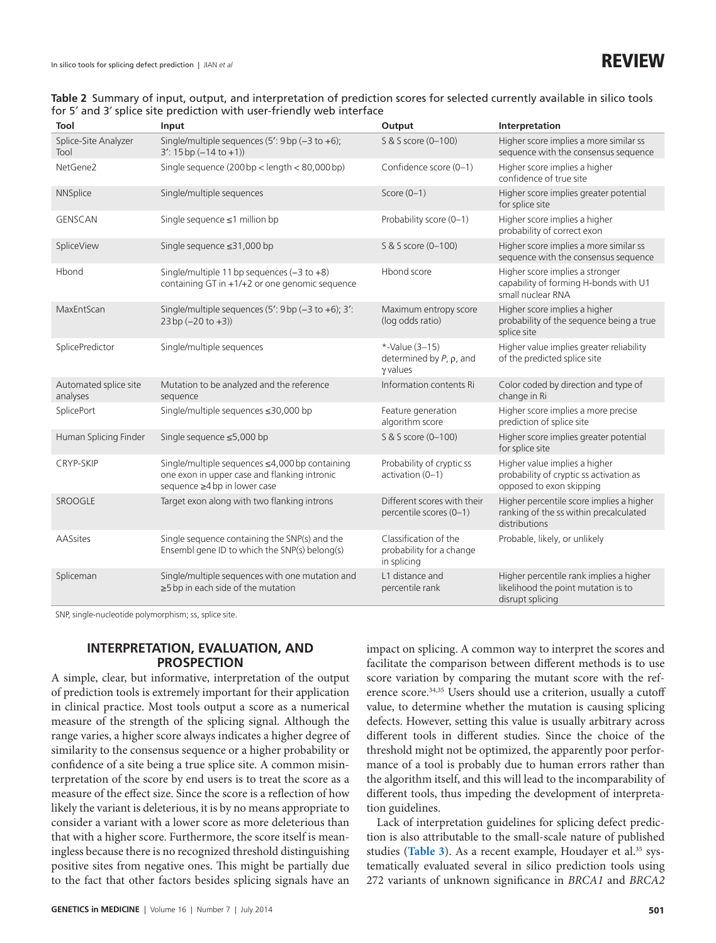### <span id="page-4-0"></span>**Table 2** Summary of input, output, and interpretation of prediction scores for selected currently available in silico tools for 5′ and 3′ splice site prediction with user-friendly web interface

| Tool                              | Input                                                                                                                          | Output                                                                | Interpretation                                                                                       |
|-----------------------------------|--------------------------------------------------------------------------------------------------------------------------------|-----------------------------------------------------------------------|------------------------------------------------------------------------------------------------------|
| Splice-Site Analyzer<br>Tool      | Single/multiple sequences (5': 9 bp (-3 to +6);<br>$3'$ : 15 bp $(-14$ to $+1)$ )                                              | S & S score (0-100)                                                   | Higher score implies a more similar ss<br>sequence with the consensus sequence                       |
| NetGene2                          | Single sequence (200 bp < length < 80,000 bp)                                                                                  | Confidence score (0-1)                                                | Higher score implies a higher<br>confidence of true site                                             |
| NNSplice                          | Single/multiple sequences                                                                                                      | Score $(0-1)$                                                         | Higher score implies greater potential<br>for splice site                                            |
| GENSCAN                           | Single sequence $\leq$ 1 million bp                                                                                            | Probability score (0-1)                                               | Higher score implies a higher<br>probability of correct exon                                         |
| SpliceView                        | Single sequence ≤31,000 bp                                                                                                     | S & S score (0-100)                                                   | Higher score implies a more similar ss<br>sequence with the consensus sequence                       |
| Hbond                             | Single/multiple 11 bp sequences $(-3 \text{ to } +8)$<br>containing GT in +1/+2 or one genomic sequence                        | Hbond score                                                           | Higher score implies a stronger<br>capability of forming H-bonds with U1<br>small nuclear RNA        |
| MaxEntScan                        | Single/multiple sequences (5': $9bp$ (-3 to +6); 3':<br>$23bp (-20 to +3))$                                                    | Maximum entropy score<br>(log odds ratio)                             | Higher score implies a higher<br>probability of the sequence being a true<br>splice site             |
| SplicePredictor                   | Single/multiple sequences                                                                                                      | *-Value (3-15)<br>determined by $P$ , $\rho$ , and<br>$\gamma$ values | Higher value implies greater reliability<br>of the predicted splice site                             |
| Automated splice site<br>analyses | Mutation to be analyzed and the reference<br>sequence                                                                          | Information contents Ri                                               | Color coded by direction and type of<br>change in Ri                                                 |
| SplicePort                        | Single/multiple sequences ≤30,000 bp                                                                                           | Feature generation<br>algorithm score                                 | Higher score implies a more precise<br>prediction of splice site                                     |
| Human Splicing Finder             | Single sequence ≤5,000 bp                                                                                                      | S & S score (0-100)                                                   | Higher score implies greater potential<br>for splice site                                            |
| <b>CRYP-SKIP</b>                  | Single/multiple sequences ≤4,000 bp containing<br>one exon in upper case and flanking intronic<br>sequence ≥4 bp in lower case | Probability of cryptic ss<br>activation (0-1)                         | Higher value implies a higher<br>probability of cryptic ss activation as<br>opposed to exon skipping |
| <b>SROOGLE</b>                    | Target exon along with two flanking introns                                                                                    | Different scores with their<br>percentile scores (0-1)                | Higher percentile score implies a higher<br>ranking of the ss within precalculated<br>distributions  |
| AASsites                          | Single sequence containing the SNP(s) and the<br>Ensembl gene ID to which the SNP(s) belong(s)                                 | Classification of the<br>probability for a change<br>in splicing      | Probable, likely, or unlikely                                                                        |
| Spliceman                         | Single/multiple sequences with one mutation and<br>$\geq$ 5 bp in each side of the mutation                                    | L1 distance and<br>percentile rank                                    | Higher percentile rank implies a higher<br>likelihood the point mutation is to<br>disrupt splicing   |

SNP, single-nucleotide polymorphism; ss, splice site.

## **INTERPRETATION, EVALUATION, AND PROSPECTION**

A simple, clear, but informative, interpretation of the output of prediction tools is extremely important for their application in clinical practice. Most tools output a score as a numerical measure of the strength of the splicing signal. Although the range varies, a higher score always indicates a higher degree of similarity to the consensus sequence or a higher probability or confidence of a site being a true splice site. A common misinterpretation of the score by end users is to treat the score as a measure of the effect size. Since the score is a reflection of how likely the variant is deleterious, it is by no means appropriate to consider a variant with a lower score as more deleterious than that with a higher score. Furthermore, the score itself is meaningless because there is no recognized threshold distinguishing positive sites from negative ones. This might be partially due to the fact that other factors besides splicing signals have an

impact on splicing. A common way to interpret the scores and facilitate the comparison between different methods is to use score variation by comparing the mutant score with the reference score.<sup>34,35</sup> Users should use a criterion, usually a cutoff value, to determine whether the mutation is causing splicing defects. However, setting this value is usually arbitrary across different tools in different studies. Since the choice of the threshold might not be optimized, the apparently poor performance of a tool is probably due to human errors rather than the algorithm itself, and this will lead to the incomparability of different tools, thus impeding the development of interpretation guidelines.

Lack of interpretation guidelines for splicing defect prediction is also attributable to the small-scale nature of published studies ([Table 3](#page-5-0)). As a recent example, Houdayer et al.<sup>35</sup> systematically evaluated several in silico prediction tools using 272 variants of unknown significance in *BRCA1* and *BRCA2*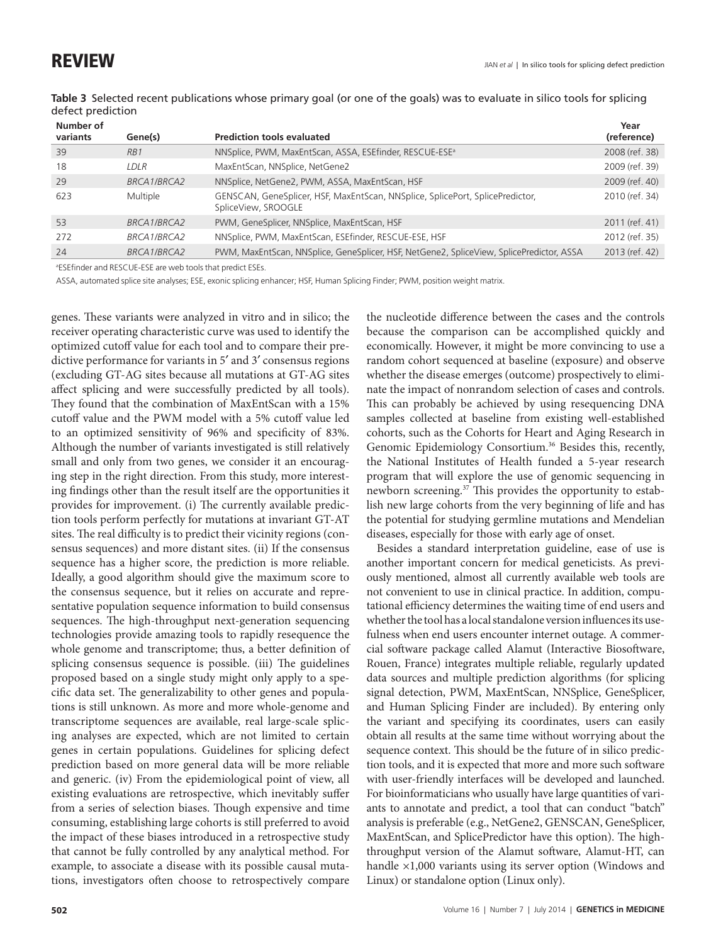| .<br>Number of |             |                                                                                                      | Year           |
|----------------|-------------|------------------------------------------------------------------------------------------------------|----------------|
| variants       | Gene(s)     | <b>Prediction tools evaluated</b>                                                                    | (reference)    |
| 39             | RB1         | NNSplice, PWM, MaxEntScan, ASSA, ESEfinder, RESCUE-ESE <sup>a</sup>                                  | 2008 (ref. 38) |
| 18             | LDLR        | MaxEntScan, NNSplice, NetGene2                                                                       | 2009 (ref. 39) |
| 29             | BRCA1/BRCA2 | NNSplice, NetGene2, PWM, ASSA, MaxEntScan, HSF                                                       | 2009 (ref. 40) |
| 623            | Multiple    | GENSCAN, GeneSplicer, HSF, MaxEntScan, NNSplice, SplicePort, SplicePredictor,<br>SpliceView, SROOGLE | 2010 (ref. 34) |
| 53             | BRCA1/BRCA2 | PWM, GeneSplicer, NNSplice, MaxEntScan, HSF                                                          | 2011 (ref. 41) |
| 272            | BRCA1/BRCA2 | NNSplice, PWM, MaxEntScan, ESEfinder, RESCUE-ESE, HSF                                                | 2012 (ref. 35) |
| 24             | BRCA1/BRCA2 | PWM, MaxEntScan, NNSplice, GeneSplicer, HSF, NetGene2, SpliceView, SplicePredictor, ASSA             | 2013 (ref. 42) |

<span id="page-5-0"></span>**Table 3** Selected recent publications whose primary goal (or one of the goals) was to evaluate in silico tools for splicing defect prediction

a ESEfinder and RESCUE-ESE are web tools that predict ESEs.

ASSA, automated splice site analyses; ESE, exonic splicing enhancer; HSF, Human Splicing Finder; PWM, position weight matrix.

genes. These variants were analyzed in vitro and in silico; the receiver operating characteristic curve was used to identify the optimized cutoff value for each tool and to compare their predictive performance for variants in 5′ and 3′ consensus regions (excluding GT-AG sites because all mutations at GT-AG sites affect splicing and were successfully predicted by all tools). They found that the combination of MaxEntScan with a 15% cutoff value and the PWM model with a 5% cutoff value led to an optimized sensitivity of 96% and specificity of 83%. Although the number of variants investigated is still relatively small and only from two genes, we consider it an encouraging step in the right direction. From this study, more interesting findings other than the result itself are the opportunities it provides for improvement. (i) The currently available prediction tools perform perfectly for mutations at invariant GT-AT sites. The real difficulty is to predict their vicinity regions (consensus sequences) and more distant sites. (ii) If the consensus sequence has a higher score, the prediction is more reliable. Ideally, a good algorithm should give the maximum score to the consensus sequence, but it relies on accurate and representative population sequence information to build consensus sequences. The high-throughput next-generation sequencing technologies provide amazing tools to rapidly resequence the whole genome and transcriptome; thus, a better definition of splicing consensus sequence is possible. (iii) The guidelines proposed based on a single study might only apply to a specific data set. The generalizability to other genes and populations is still unknown. As more and more whole-genome and transcriptome sequences are available, real large-scale splicing analyses are expected, which are not limited to certain genes in certain populations. Guidelines for splicing defect prediction based on more general data will be more reliable and generic. (iv) From the epidemiological point of view, all existing evaluations are retrospective, which inevitably suffer from a series of selection biases. Though expensive and time consuming, establishing large cohorts is still preferred to avoid the impact of these biases introduced in a retrospective study that cannot be fully controlled by any analytical method. For example, to associate a disease with its possible causal mutations, investigators often choose to retrospectively compare

the nucleotide difference between the cases and the controls because the comparison can be accomplished quickly and economically. However, it might be more convincing to use a random cohort sequenced at baseline (exposure) and observe whether the disease emerges (outcome) prospectively to eliminate the impact of nonrandom selection of cases and controls. This can probably be achieved by using resequencing DNA samples collected at baseline from existing well-established cohorts, such as the Cohorts for Heart and Aging Research in Genomic Epidemiology Consortium.<sup>36</sup> Besides this, recently, the National Institutes of Health funded a 5-year research program that will explore the use of genomic sequencing in newborn screening.37 This provides the opportunity to establish new large cohorts from the very beginning of life and has the potential for studying germline mutations and Mendelian diseases, especially for those with early age of onset.

Besides a standard interpretation guideline, ease of use is another important concern for medical geneticists. As previously mentioned, almost all currently available web tools are not convenient to use in clinical practice. In addition, computational efficiency determines the waiting time of end users and whether the tool has a local standalone version influences its usefulness when end users encounter internet outage. A commercial software package called Alamut (Interactive Biosoftware, Rouen, France) integrates multiple reliable, regularly updated data sources and multiple prediction algorithms (for splicing signal detection, PWM, MaxEntScan, NNSplice, GeneSplicer, and Human Splicing Finder are included). By entering only the variant and specifying its coordinates, users can easily obtain all results at the same time without worrying about the sequence context. This should be the future of in silico prediction tools, and it is expected that more and more such software with user-friendly interfaces will be developed and launched. For bioinformaticians who usually have large quantities of variants to annotate and predict, a tool that can conduct "batch" analysis is preferable (e.g., NetGene2, GENSCAN, GeneSplicer, MaxEntScan, and SplicePredictor have this option). The highthroughput version of the Alamut software, Alamut-HT, can handle ×1,000 variants using its server option (Windows and Linux) or standalone option (Linux only).